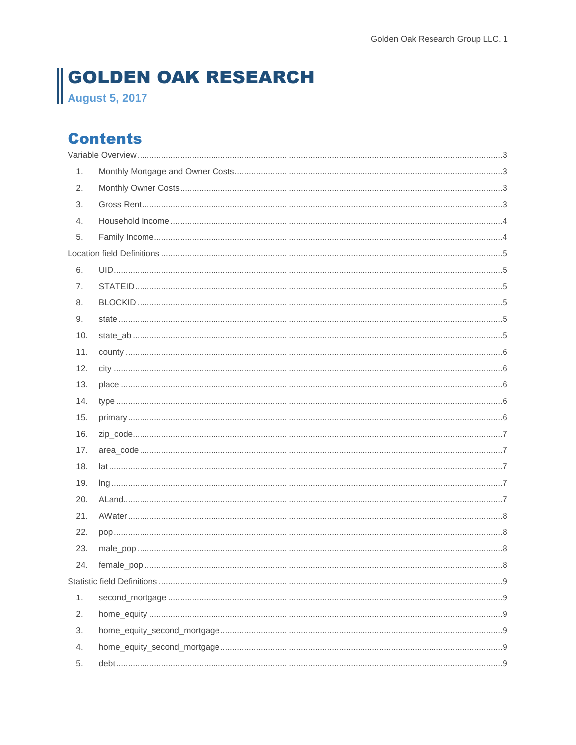# **GOLDEN OAK RESEARCH**<br>August 5, 2017

## **Contents**

| 1.  |  |
|-----|--|
| 2.  |  |
| 3.  |  |
| 4.  |  |
| 5.  |  |
|     |  |
| 6.  |  |
| 7.  |  |
| 8.  |  |
| 9.  |  |
| 10. |  |
| 11. |  |
| 12. |  |
| 13. |  |
| 14. |  |
| 15. |  |
| 16. |  |
| 17. |  |
| 18. |  |
| 19. |  |
| 20. |  |
| 21. |  |
| 22. |  |
| 23. |  |
| 24. |  |
|     |  |
| 1.  |  |
| 2.  |  |
| 3.  |  |
| 4.  |  |
| 5.  |  |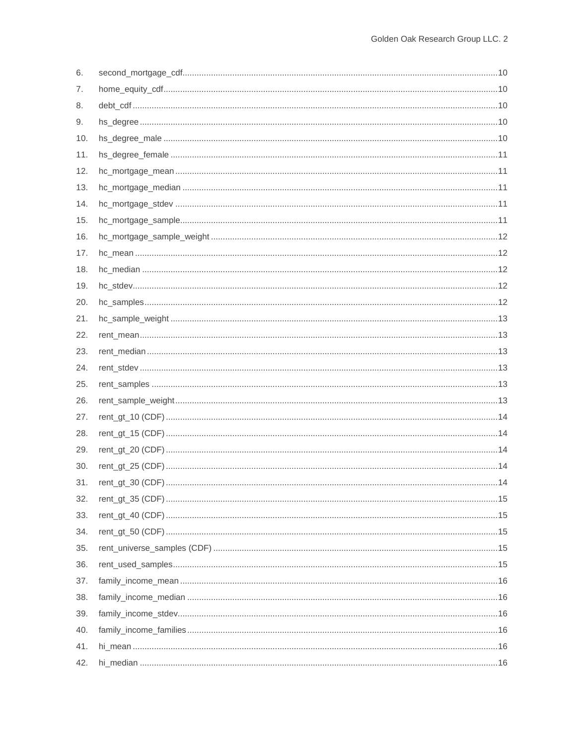| 6.  |  |
|-----|--|
| 7.  |  |
| 8.  |  |
| 9.  |  |
| 10. |  |
| 11. |  |
| 12. |  |
| 13. |  |
| 14. |  |
| 15. |  |
| 16. |  |
| 17. |  |
| 18. |  |
| 19. |  |
| 20. |  |
| 21. |  |
| 22. |  |
| 23. |  |
| 24. |  |
| 25. |  |
| 26. |  |
| 27. |  |
| 28. |  |
| 29. |  |
| 30. |  |
| 31. |  |
| 32. |  |
| 33. |  |
| 34. |  |
| 35. |  |
| 36. |  |
| 37. |  |
| 38. |  |
| 39. |  |
| 40. |  |
| 41. |  |
| 42. |  |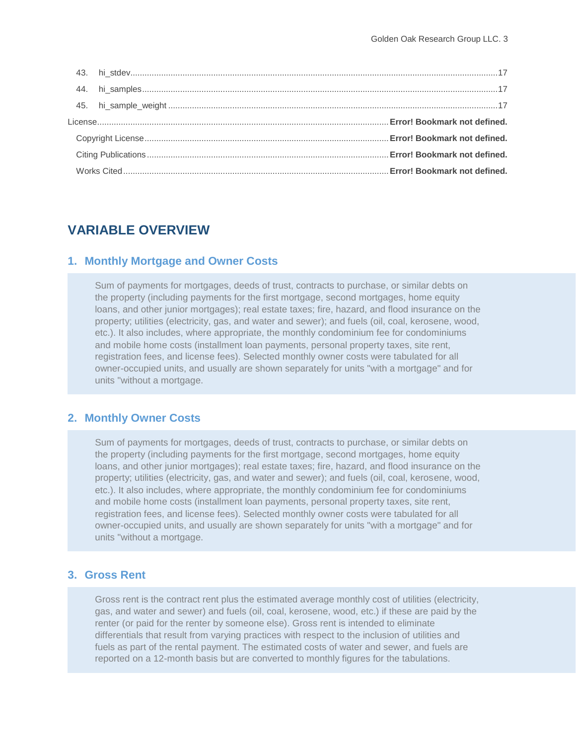## <span id="page-2-0"></span>**VARIABLE OVERVIEW**

#### <span id="page-2-1"></span>**1. Monthly Mortgage and Owner Costs**

Sum of payments for mortgages, deeds of trust, contracts to purchase, or similar debts on the property (including payments for the first mortgage, second mortgages, home equity loans, and other junior mortgages); real estate taxes; fire, hazard, and flood insurance on the property; utilities (electricity, gas, and water and sewer); and fuels (oil, coal, kerosene, wood, etc.). It also includes, where appropriate, the monthly condominium fee for condominiums and mobile home costs (installment loan payments, personal property taxes, site rent, registration fees, and license fees). Selected monthly owner costs were tabulated for all owner-occupied units, and usually are shown separately for units "with a mortgage" and for units "without a mortgage.

#### <span id="page-2-2"></span>**2. Monthly Owner Costs**

Sum of payments for mortgages, deeds of trust, contracts to purchase, or similar debts on the property (including payments for the first mortgage, second mortgages, home equity loans, and other junior mortgages); real estate taxes; fire, hazard, and flood insurance on the property; utilities (electricity, gas, and water and sewer); and fuels (oil, coal, kerosene, wood, etc.). It also includes, where appropriate, the monthly condominium fee for condominiums and mobile home costs (installment loan payments, personal property taxes, site rent, registration fees, and license fees). Selected monthly owner costs were tabulated for all owner-occupied units, and usually are shown separately for units "with a mortgage" and for units "without a mortgage.

## <span id="page-2-3"></span>**3. Gross Rent**

Gross rent is the contract rent plus the estimated average monthly cost of utilities (electricity, gas, and water and sewer) and fuels (oil, coal, kerosene, wood, etc.) if these are paid by the renter (or paid for the renter by someone else). Gross rent is intended to eliminate differentials that result from varying practices with respect to the inclusion of utilities and fuels as part of the rental payment. The estimated costs of water and sewer, and fuels are reported on a 12-month basis but are converted to monthly figures for the tabulations.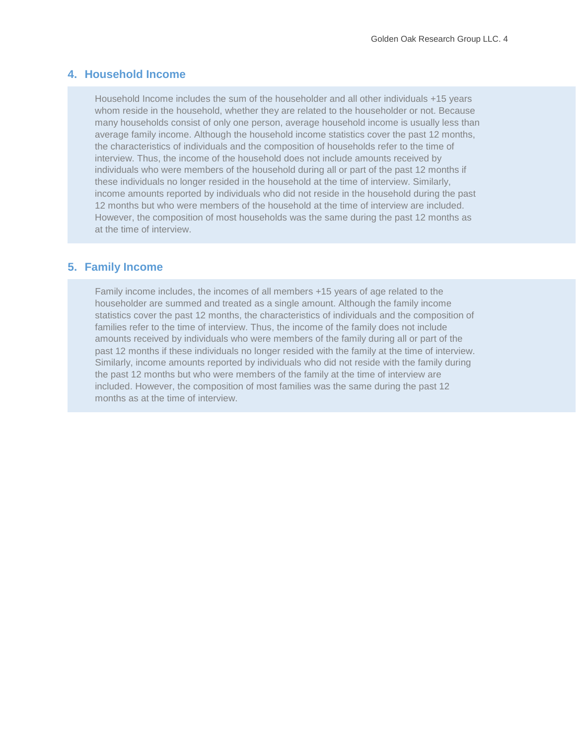## <span id="page-3-0"></span>**4. Household Income**

Household Income includes the sum of the householder and all other individuals +15 years whom reside in the household, whether they are related to the householder or not. Because many households consist of only one person, average household income is usually less than average family income. Although the household income statistics cover the past 12 months, the characteristics of individuals and the composition of households refer to the time of interview. Thus, the income of the household does not include amounts received by individuals who were members of the household during all or part of the past 12 months if these individuals no longer resided in the household at the time of interview. Similarly, income amounts reported by individuals who did not reside in the household during the past 12 months but who were members of the household at the time of interview are included. However, the composition of most households was the same during the past 12 months as at the time of interview.

#### <span id="page-3-1"></span>**5. Family Income**

Family income includes, the incomes of all members +15 years of age related to the householder are summed and treated as a single amount. Although the family income statistics cover the past 12 months, the characteristics of individuals and the composition of families refer to the time of interview. Thus, the income of the family does not include amounts received by individuals who were members of the family during all or part of the past 12 months if these individuals no longer resided with the family at the time of interview. Similarly, income amounts reported by individuals who did not reside with the family during the past 12 months but who were members of the family at the time of interview are included. However, the composition of most families was the same during the past 12 months as at the time of interview.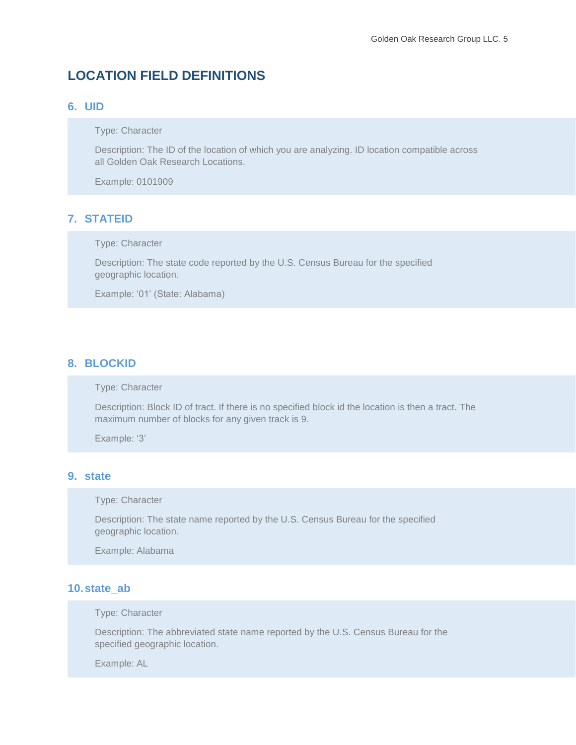## <span id="page-4-0"></span>**LOCATION FIELD DEFINITIONS**

## <span id="page-4-1"></span>**6. UID**

Type: Character

Description: The ID of the location of which you are analyzing. ID location compatible across all Golden Oak Research Locations.

Example: 0101909

## <span id="page-4-2"></span>**7. STATEID**

Type: Character

Description: The state code reported by the U.S. Census Bureau for the specified geographic location.

Example: '01' (State: Alabama)

## <span id="page-4-3"></span>**8. BLOCKID**

Type: Character

Description: Block ID of tract. If there is no specified block id the location is then a tract. The maximum number of blocks for any given track is 9.

Example: '3'

#### <span id="page-4-4"></span>**9. state**

Type: Character

Description: The state name reported by the U.S. Census Bureau for the specified geographic location.

Example: Alabama

#### <span id="page-4-5"></span>**10.state\_ab**

#### Type: Character

Description: The abbreviated state name reported by the U.S. Census Bureau for the specified geographic location.

Example: AL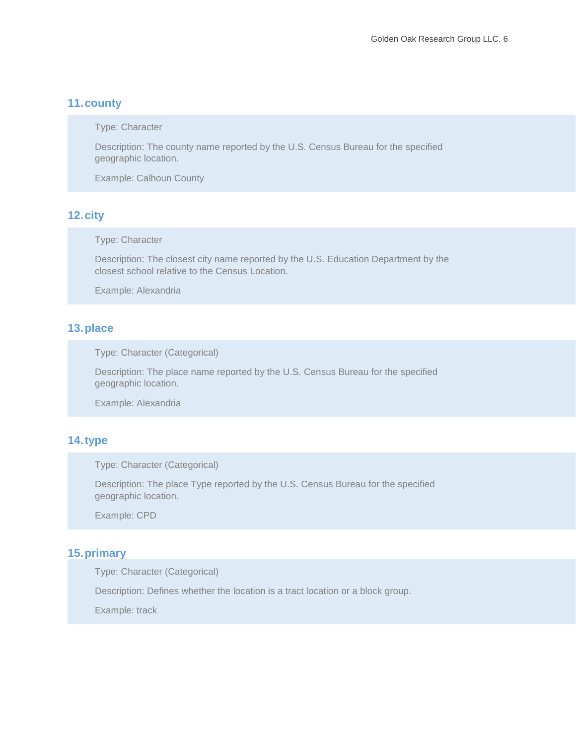## <span id="page-5-0"></span>**11.county**

Type: Character

Description: The county name reported by the U.S. Census Bureau for the specified geographic location.

Example: Calhoun County

#### <span id="page-5-1"></span>**12.city**

#### Type: Character

Description: The closest city name reported by the U.S. Education Department by the closest school relative to the Census Location.

Example: Alexandria

## <span id="page-5-2"></span>**13.place**

Type: Character (Categorical)

Description: The place name reported by the U.S. Census Bureau for the specified geographic location.

Example: Alexandria

## <span id="page-5-3"></span>**14.type**

Type: Character (Categorical)

Description: The place Type reported by the U.S. Census Bureau for the specified geographic location.

Example: CPD

#### <span id="page-5-4"></span>**15.primary**

Type: Character (Categorical)

Description: Defines whether the location is a tract location or a block group.

Example: track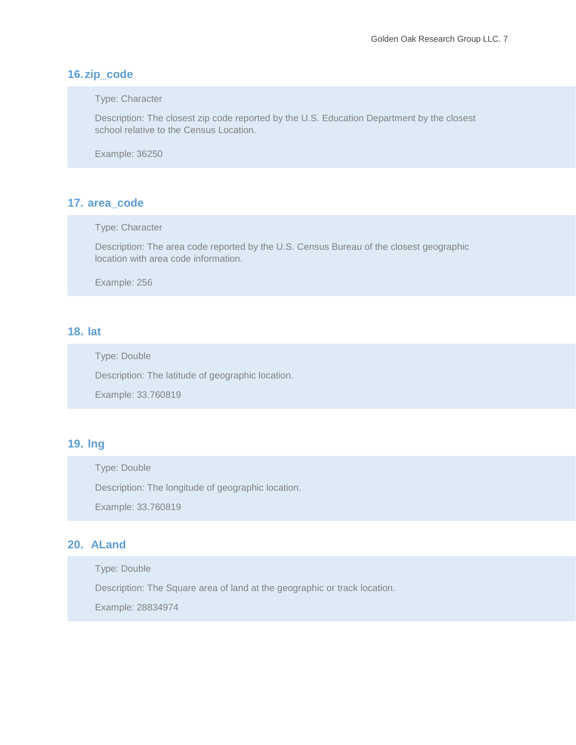#### <span id="page-6-0"></span>**16.zip\_code**

Type: Character

Description: The closest zip code reported by the U.S. Education Department by the closest school relative to the Census Location.

Example: 36250

#### <span id="page-6-1"></span>**17. area\_code**

Type: Character

Description: The area code reported by the U.S. Census Bureau of the closest geographic location with area code information.

Example: 256

## <span id="page-6-2"></span>**18. lat**

Type: Double

Description: The latitude of geographic location.

Example: 33.760819

## <span id="page-6-3"></span>**19. lng**

Type: Double

Description: The longitude of geographic location.

<span id="page-6-4"></span>Example: 33.760819

## **20. ALand**

Type: Double

Description: The Square area of land at the geographic or track location.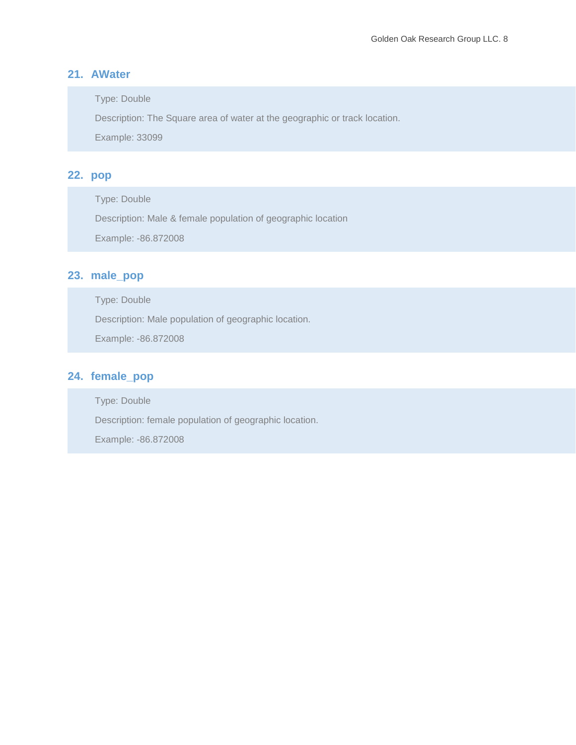## <span id="page-7-0"></span>**21. AWater**

Type: Double

Description: The Square area of water at the geographic or track location.

<span id="page-7-1"></span>Example: 33099

## **22. pop**

Type: Double

Description: Male & female population of geographic location

<span id="page-7-2"></span>Example: -86.872008

## **23. male\_pop**

Type: Double

Description: Male population of geographic location.

<span id="page-7-3"></span>Example: -86.872008

## **24. female\_pop**

Type: Double Description: female population of geographic location. Example: -86.872008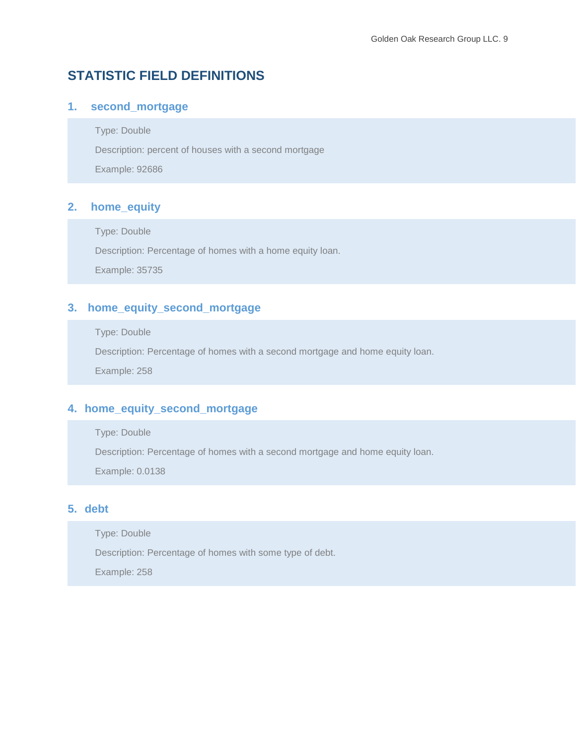## <span id="page-8-0"></span>**STATISTIC FIELD DEFINITIONS**

## <span id="page-8-1"></span>**1. second\_mortgage**

Type: Double

Description: percent of houses with a second mortgage

<span id="page-8-2"></span>Example: 92686

#### **2. home\_equity**

Type: Double

Description: Percentage of homes with a home equity loan.

<span id="page-8-3"></span>Example: 35735

## **3. home\_equity\_second\_mortgage**

Type: Double

Description: Percentage of homes with a second mortgage and home equity loan.

Example: 258

## <span id="page-8-4"></span>**4. home\_equity\_second\_mortgage**

Type: Double

Description: Percentage of homes with a second mortgage and home equity loan.

Example: 0.0138

## <span id="page-8-5"></span>**5. debt**

Type: Double

Description: Percentage of homes with some type of debt.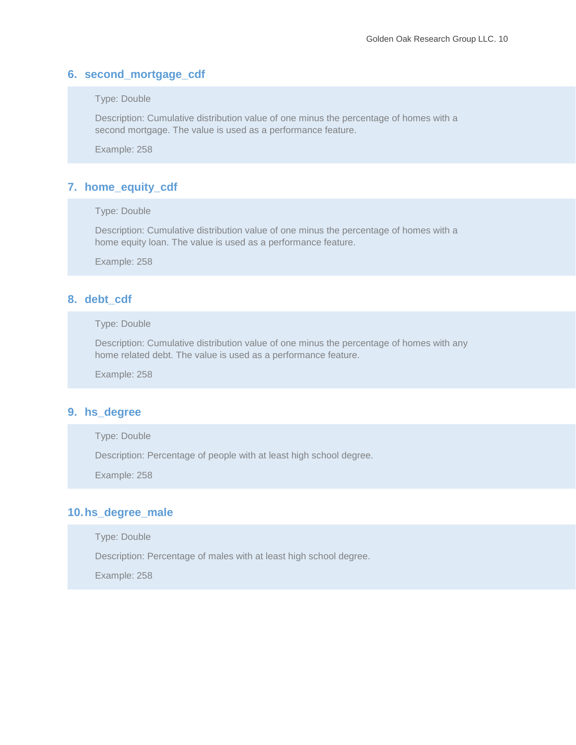#### <span id="page-9-0"></span>**6. second\_mortgage\_cdf**

#### Type: Double

Description: Cumulative distribution value of one minus the percentage of homes with a second mortgage. The value is used as a performance feature.

Example: 258

#### <span id="page-9-1"></span>**7. home\_equity\_cdf**

Type: Double

Description: Cumulative distribution value of one minus the percentage of homes with a home equity loan. The value is used as a performance feature.

Example: 258

#### <span id="page-9-2"></span>**8. debt\_cdf**

#### Type: Double

Description: Cumulative distribution value of one minus the percentage of homes with any home related debt. The value is used as a performance feature.

Example: 258

#### <span id="page-9-3"></span>**9. hs\_degree**

Type: Double

Description: Percentage of people with at least high school degree.

Example: 258

#### <span id="page-9-4"></span>**10.hs\_degree\_male**

Type: Double

Description: Percentage of males with at least high school degree.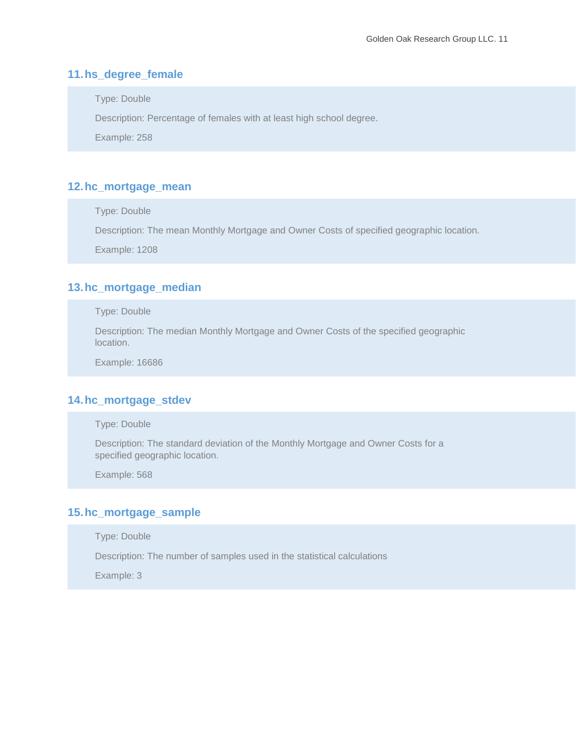#### <span id="page-10-0"></span>**11.hs\_degree\_female**

Type: Double

Description: Percentage of females with at least high school degree.

Example: 258

#### <span id="page-10-1"></span>**12.hc\_mortgage\_mean**

Type: Double

Description: The mean Monthly Mortgage and Owner Costs of specified geographic location.

Example: 1208

#### <span id="page-10-2"></span>**13.hc\_mortgage\_median**

Type: Double

Description: The median Monthly Mortgage and Owner Costs of the specified geographic location.

Example: 16686

#### <span id="page-10-3"></span>**14.hc\_mortgage\_stdev**

Type: Double

Description: The standard deviation of the Monthly Mortgage and Owner Costs for a specified geographic location.

Example: 568

#### <span id="page-10-4"></span>**15.hc\_mortgage\_sample**

Type: Double

<span id="page-10-5"></span>Description: The number of samples used in the statistical calculations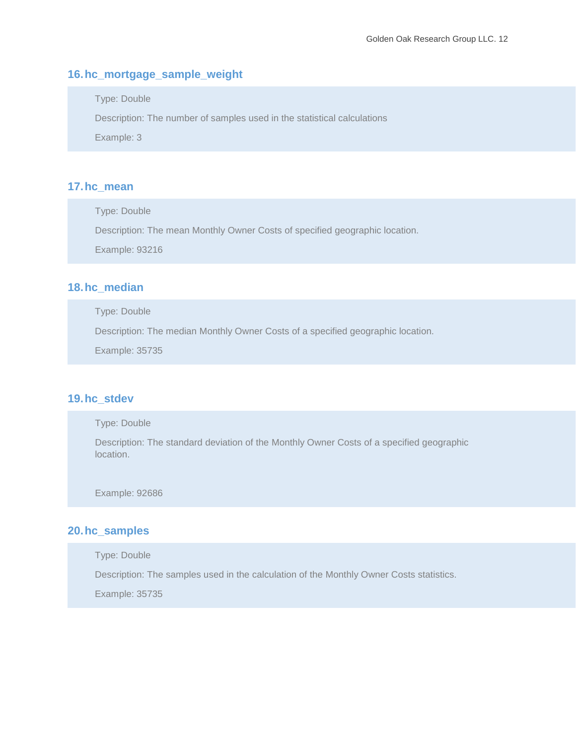#### **16.hc\_mortgage\_sample\_weight**

Type: Double

Description: The number of samples used in the statistical calculations

Example: 3

#### <span id="page-11-0"></span>**17.hc\_mean**

Type: Double

Description: The mean Monthly Owner Costs of specified geographic location.

Example: 93216

#### <span id="page-11-1"></span>**18.hc\_median**

Type: Double

Description: The median Monthly Owner Costs of a specified geographic location.

Example: 35735

#### <span id="page-11-2"></span>**19.hc\_stdev**

Type: Double

Description: The standard deviation of the Monthly Owner Costs of a specified geographic location.

Example: 92686

#### <span id="page-11-3"></span>**20.hc\_samples**

Type: Double

Description: The samples used in the calculation of the Monthly Owner Costs statistics.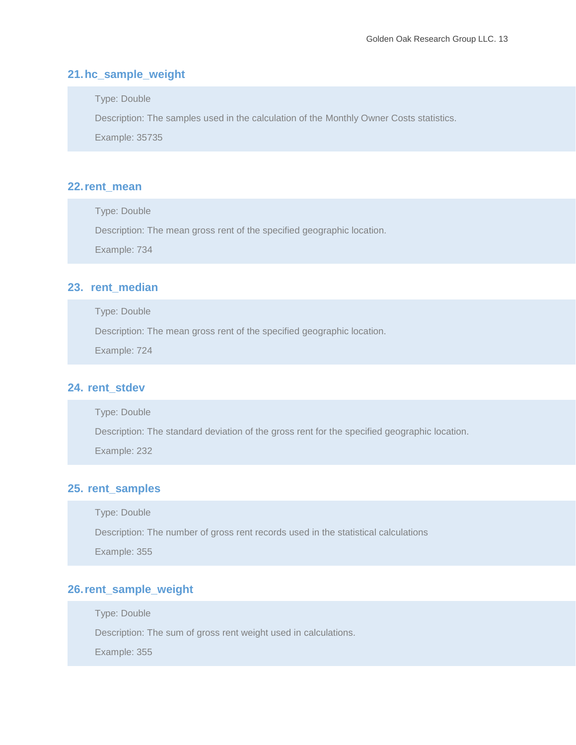#### <span id="page-12-0"></span>**21.hc\_sample\_weight**

Type: Double

Description: The samples used in the calculation of the Monthly Owner Costs statistics.

Example: 35735

#### <span id="page-12-1"></span>**22.rent\_mean**

Type: Double

Description: The mean gross rent of the specified geographic location.

<span id="page-12-2"></span>Example: 734

#### **23. rent\_median**

Type: Double

Description: The mean gross rent of the specified geographic location.

<span id="page-12-3"></span>Example: 724

#### **24. rent\_stdev**

Type: Double

Description: The standard deviation of the gross rent for the specified geographic location.

<span id="page-12-4"></span>Example: 232

#### **25. rent\_samples**

Type: Double

Description: The number of gross rent records used in the statistical calculations

Example: 355

#### <span id="page-12-5"></span>**26.rent\_sample\_weight**

Type: Double

Description: The sum of gross rent weight used in calculations.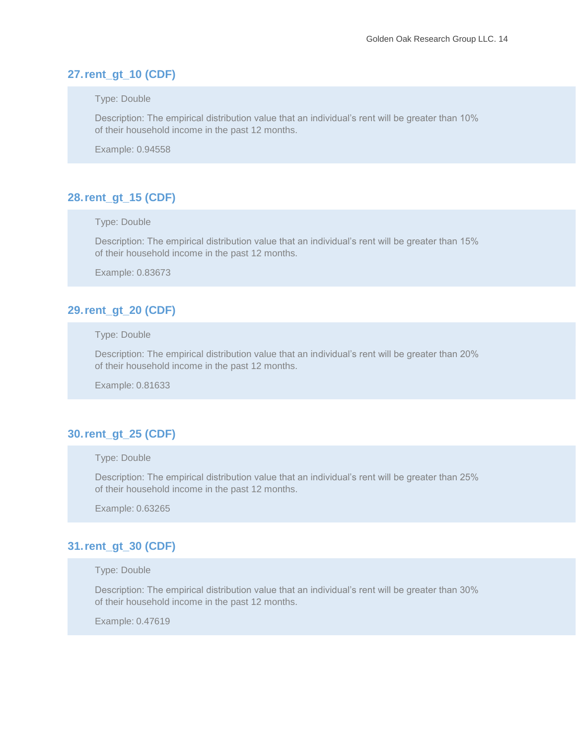#### <span id="page-13-0"></span>**27.rent\_gt\_10 (CDF)**

#### Type: Double

Description: The empirical distribution value that an individual's rent will be greater than 10% of their household income in the past 12 months.

Example: 0.94558

#### <span id="page-13-1"></span>**28.rent\_gt\_15 (CDF)**

Type: Double

Description: The empirical distribution value that an individual's rent will be greater than 15% of their household income in the past 12 months.

Example: 0.83673

### <span id="page-13-2"></span>**29.rent\_gt\_20 (CDF)**

Type: Double

Description: The empirical distribution value that an individual's rent will be greater than 20% of their household income in the past 12 months.

Example: 0.81633

#### <span id="page-13-3"></span>**30.rent\_gt\_25 (CDF)**

#### Type: Double

Description: The empirical distribution value that an individual's rent will be greater than 25% of their household income in the past 12 months.

Example: 0.63265

#### <span id="page-13-4"></span>**31.rent\_gt\_30 (CDF)**

Type: Double

Description: The empirical distribution value that an individual's rent will be greater than 30% of their household income in the past 12 months.

Example: 0.47619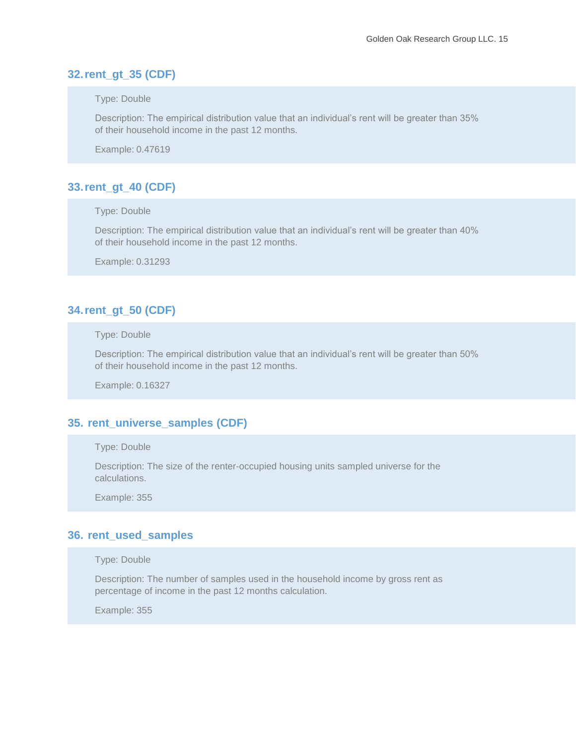#### <span id="page-14-0"></span>**32.rent\_gt\_35 (CDF)**

#### Type: Double

Description: The empirical distribution value that an individual's rent will be greater than 35% of their household income in the past 12 months.

Example: 0.47619

#### <span id="page-14-1"></span>**33.rent\_gt\_40 (CDF)**

Type: Double

Description: The empirical distribution value that an individual's rent will be greater than 40% of their household income in the past 12 months.

Example: 0.31293

## <span id="page-14-2"></span>**34.rent\_gt\_50 (CDF)**

#### Type: Double

Description: The empirical distribution value that an individual's rent will be greater than 50% of their household income in the past 12 months.

<span id="page-14-3"></span>Example: 0.16327

#### **35. rent\_universe\_samples (CDF)**

Type: Double

Description: The size of the renter-occupied housing units sampled universe for the calculations.

<span id="page-14-4"></span>Example: 355

#### **36. rent\_used\_samples**

Type: Double

Description: The number of samples used in the household income by gross rent as percentage of income in the past 12 months calculation.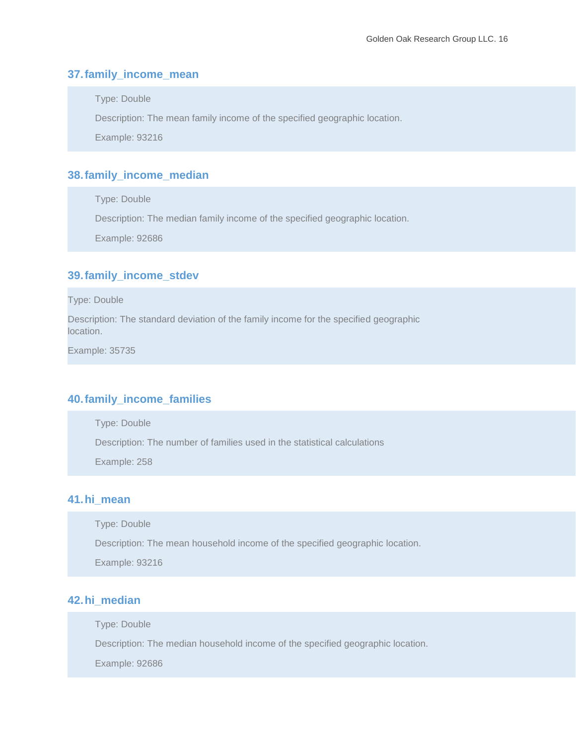#### <span id="page-15-0"></span>**37.family\_income\_mean**

Type: Double

Description: The mean family income of the specified geographic location.

Example: 93216

#### <span id="page-15-1"></span>**38.family\_income\_median**

Type: Double

Description: The median family income of the specified geographic location.

Example: 92686

#### <span id="page-15-2"></span>**39.family\_income\_stdev**

Type: Double

Description: The standard deviation of the family income for the specified geographic location.

Example: 35735

#### <span id="page-15-3"></span>**40.family\_income\_families**

Type: Double Description: The number of families used in the statistical calculations

Example: 258

#### <span id="page-15-4"></span>**41.hi\_mean**

Type: Double

Description: The mean household income of the specified geographic location.

Example: 93216

#### <span id="page-15-5"></span>**42.hi\_median**

Type: Double

Description: The median household income of the specified geographic location.